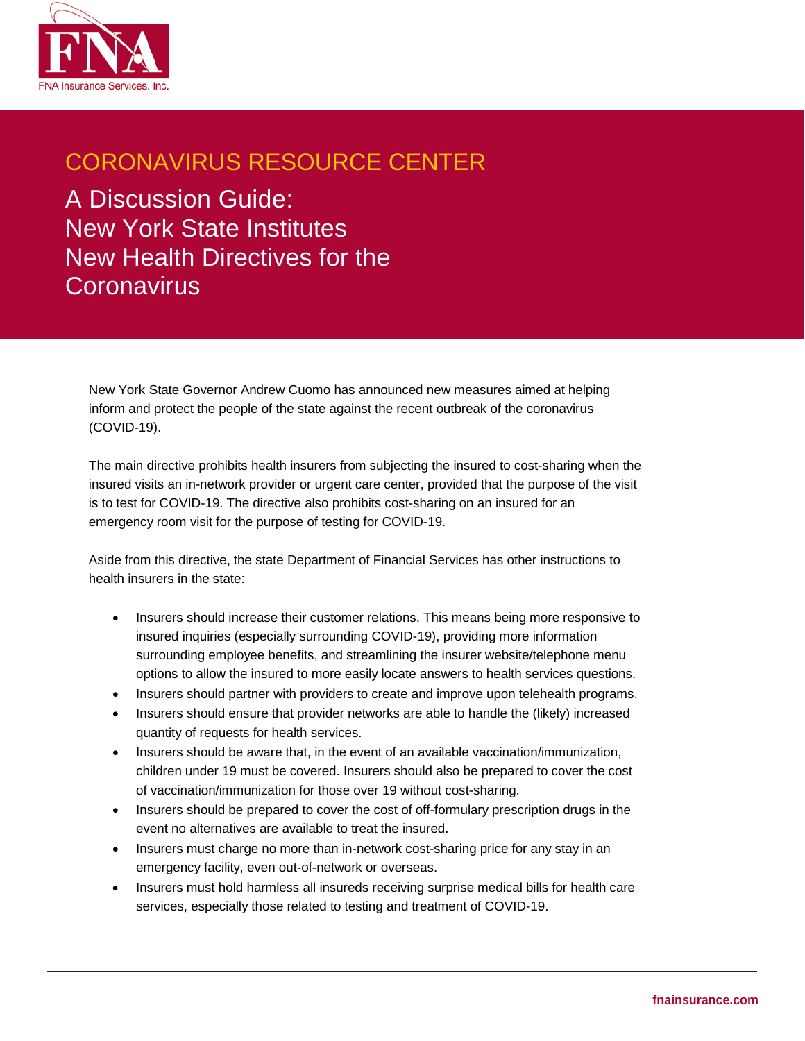

## CORONAVIRUS RESOURCE CENTER

A Discussion Guide: New York State Institutes New Health Directives for the **Coronavirus** 

New York State Governor Andrew Cuomo has announced new measures aimed at helping inform and protect the people of the state against the recent outbreak of the coronavirus (COVID-19).

The main directive prohibits health insurers from subjecting the insured to cost-sharing when the insured visits an in-network provider or urgent care center, provided that the purpose of the visit is to test for COVID-19. The directive also prohibits cost-sharing on an insured for an emergency room visit for the purpose of testing for COVID-19.

Aside from this directive, the state Department of Financial Services has other instructions to health insurers in the state:

- Insurers should increase their customer relations. This means being more responsive to insured inquiries (especially surrounding COVID-19), providing more information surrounding employee benefits, and streamlining the insurer website/telephone menu options to allow the insured to more easily locate answers to health services questions.
- Insurers should partner with providers to create and improve upon telehealth programs.
- Insurers should ensure that provider networks are able to handle the (likely) increased quantity of requests for health services.
- Insurers should be aware that, in the event of an available vaccination/immunization, children under 19 must be covered. Insurers should also be prepared to cover the cost of vaccination/immunization for those over 19 without cost-sharing.
- Insurers should be prepared to cover the cost of off-formulary prescription drugs in the event no alternatives are available to treat the insured.
- Insurers must charge no more than in-network cost-sharing price for any stay in an emergency facility, even out-of-network or overseas.
- Insurers must hold harmless all insureds receiving surprise medical bills for health care services, especially those related to testing and treatment of COVID-19.